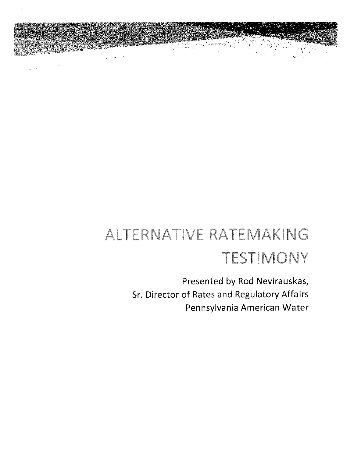

್ ನಿರ್ಮಿ<br>- ಭಾರತ ನೀಡಿ

in di

 $\label{eq:1} \frac{1}{\sqrt{2\pi}}\left(\frac{1}{\sqrt{2\pi}}\right)^{1/2}\frac{1}{\sqrt{2\pi}}\left(\frac{1}{\sqrt{2\pi}}\right)^{1/2}\frac{1}{\sqrt{2\pi}}\left(\frac{1}{\sqrt{2\pi}}\right)^{1/2}\frac{1}{\sqrt{2\pi}}\left(\frac{1}{\sqrt{2\pi}}\right)^{1/2}\frac{1}{\sqrt{2\pi}}\frac{1}{\sqrt{2\pi}}\frac{1}{\sqrt{2\pi}}\frac{1}{\sqrt{2\pi}}\frac{1}{\sqrt{2\pi}}\frac{1}{\sqrt{2\pi}}\frac{1}{\sqrt{2$ 

Presented by Rod Nevirauskas, Sr. Director of Rates and Regulatory Affairs Pennsylvania American Water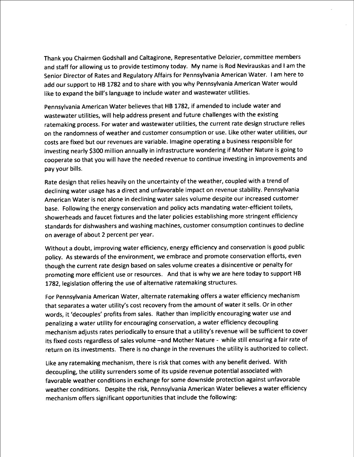Thank you Chairmen Godshall and Caltagirone, Representative Delozier, committee members and staff for allowing us to provide testimony today. My name is Rod Nevirauskas and lam the Senior Director of Rates and Regulatory Affairs for Pennsylvania American Water. lam here to add our support to HB 1782 and to share with you why Pennsylvania American Water would like to expand the bill's language to include water and wastewater utilities.

Pennsylvania American Water believes that HB 1782, if amended to include water and wastewater utilities, will help address present and future challenges with the existing ratemaking process. For water and wastewater utilities, the current rate design structure relies on the randomness of weather and customer consumption or use. Like other water utilities, our costs are fixed but our revenues are variable. Imagine operating a business responsible for investing nearly \$300 million annually in infrastructure wondering if Mother Nature is going to cooperate so that you willhave the needed revenue to continue investing in improvements and pay your bills.

Rate design that relies heavily on the uncertainty of the weather, coupled with a trend of declining water usage has a direct and unfavorable impact on revenue stability. Pennsylvania American Water is not alone in declining water sales volume despite our increased customer base. Following the energy conservation and policy acts mandating water-efficient toilets, showerheads and faucet fixtures and the later policies establishing more stringent efficiency standards for dishwashers and washing machines, customer consumption continues to decline on average of about 2 percent per year.

Without a doubt, improving water efficiency, energy efficiency and conservation is good public policy. As stewards of the environment, we embrace and promote conservation efforts, even though the current rate design based on sales volume creates a disincentive or penalty for promoting more efficient use or resources. And that is why we are here today to support HB 1782, legislation offering the use of alternative ratemaking structures.

For Pennsylvania American Water, alternate ratemaking offers a water efficiency mechanism that separates a water utility's cost recovery from the amount of water it sells. Or in other words, it 'decouples' profits from sales. Rather than implicitly encouraging water use and penalizing a water utility for encouraging conservation, a water efficiency decoupling mechanism adjusts rates periodically to ensure that a utility's revenue will be sufficient to cover its fixed costs regardless of sales volume -- and Mother Nature - while still ensuring a fair rate of return on its investments. There is no change in the revenues the utility is authorized to collect.

Like any ratemaking mechanism, there is risk that comes with any benefit derived. With decoupling, the utility surrenders some of its upside revenue potential associated with favorable weather conditions in exchange for some downside protection against unfavorable weather conditions. Despite the risk, Pennsylvania American Water believes a water efficiency mechanism offers significant opportunities that include the following: